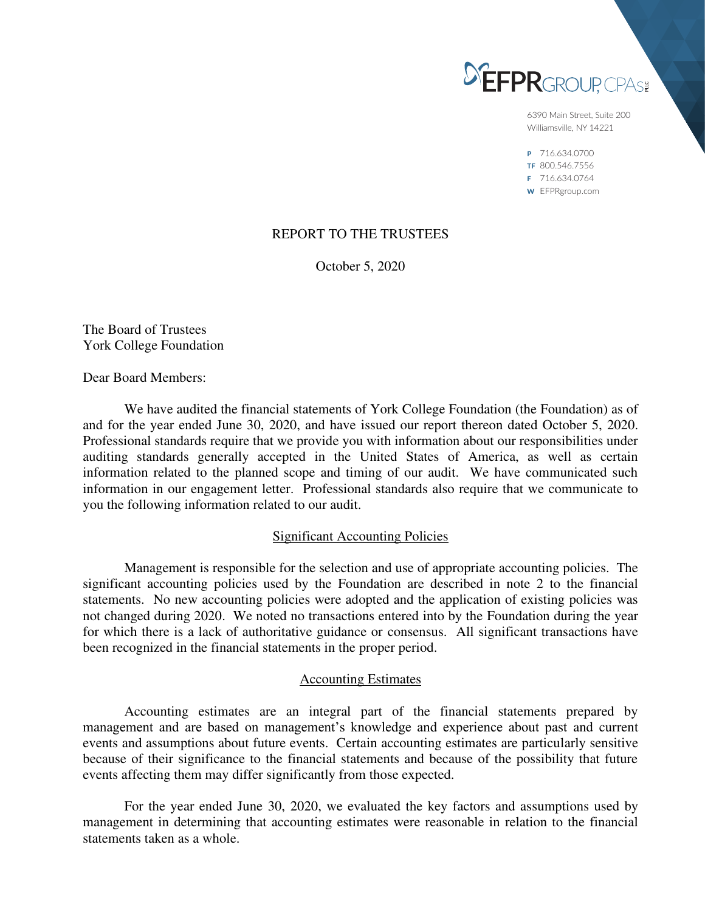

6390 Main Street, Suite 200 Williamsville, NY 14221

P 716.634.0700 TF 800.546.7556 F 716.634.0764 W EFPRgroup.com

# REPORT TO THE TRUSTEES

October 5, 2020

The Board of Trustees York College Foundation

Dear Board Members:

 We have audited the financial statements of York College Foundation (the Foundation) as of and for the year ended June 30, 2020, and have issued our report thereon dated October 5, 2020. Professional standards require that we provide you with information about our responsibilities under auditing standards generally accepted in the United States of America, as well as certain information related to the planned scope and timing of our audit. We have communicated such information in our engagement letter. Professional standards also require that we communicate to you the following information related to our audit.

### Significant Accounting Policies

 Management is responsible for the selection and use of appropriate accounting policies. The significant accounting policies used by the Foundation are described in note 2 to the financial statements. No new accounting policies were adopted and the application of existing policies was not changed during 2020. We noted no transactions entered into by the Foundation during the year for which there is a lack of authoritative guidance or consensus. All significant transactions have been recognized in the financial statements in the proper period.

### Accounting Estimates

 Accounting estimates are an integral part of the financial statements prepared by management and are based on management's knowledge and experience about past and current events and assumptions about future events. Certain accounting estimates are particularly sensitive because of their significance to the financial statements and because of the possibility that future events affecting them may differ significantly from those expected.

 For the year ended June 30, 2020, we evaluated the key factors and assumptions used by management in determining that accounting estimates were reasonable in relation to the financial statements taken as a whole.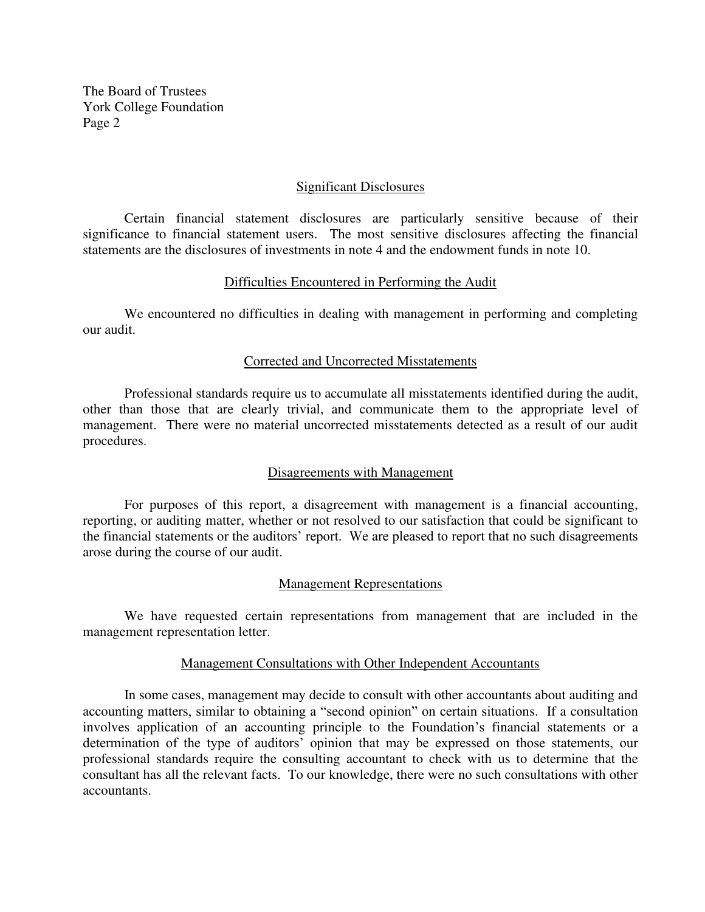The Board of Trustees York College Foundation Page 2

### Significant Disclosures

 Certain financial statement disclosures are particularly sensitive because of their significance to financial statement users. The most sensitive disclosures affecting the financial statements are the disclosures of investments in note 4 and the endowment funds in note 10.

### Difficulties Encountered in Performing the Audit

 We encountered no difficulties in dealing with management in performing and completing our audit.

### Corrected and Uncorrected Misstatements

 Professional standards require us to accumulate all misstatements identified during the audit, other than those that are clearly trivial, and communicate them to the appropriate level of management. There were no material uncorrected misstatements detected as a result of our audit procedures.

# Disagreements with Management

 For purposes of this report, a disagreement with management is a financial accounting, reporting, or auditing matter, whether or not resolved to our satisfaction that could be significant to the financial statements or the auditors' report. We are pleased to report that no such disagreements arose during the course of our audit.

# Management Representations

 We have requested certain representations from management that are included in the management representation letter.

### Management Consultations with Other Independent Accountants

 In some cases, management may decide to consult with other accountants about auditing and accounting matters, similar to obtaining a "second opinion" on certain situations. If a consultation involves application of an accounting principle to the Foundation's financial statements or a determination of the type of auditors' opinion that may be expressed on those statements, our professional standards require the consulting accountant to check with us to determine that the consultant has all the relevant facts. To our knowledge, there were no such consultations with other accountants.